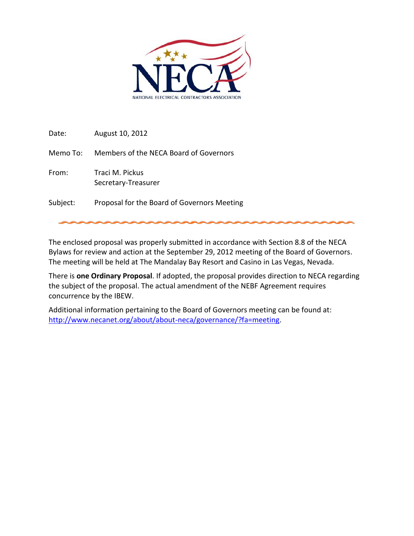

Date: August 10, 2012

Memo To: Members of the NECA Board of Governors

From: Traci M. Pickus Secretary-Treasurer

Subject: Proposal for the Board of Governors Meeting

The enclosed proposal was properly submitted in accordance with Section 8.8 of the NECA Bylaws for review and action at the September 29, 2012 meeting of the Board of Governors. The meeting will be held at The Mandalay Bay Resort and Casino in Las Vegas, Nevada.

There is **one Ordinary Proposal**. If adopted, the proposal provides direction to NECA regarding the subject of the proposal. The actual amendment of the NEBF Agreement requires concurrence by the IBEW.

Additional information pertaining to the Board of Governors meeting can be found at: [http://www.necanet.org/about/about-neca/governance/?fa=meeting.](http://www.necanet.org/about/about-neca/governance/?fa=meeting)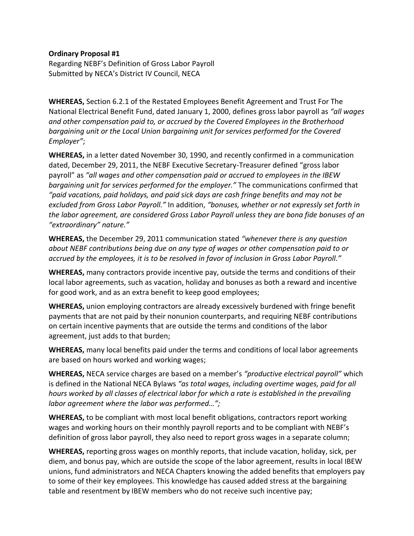## **Ordinary Proposal #1**

Regarding NEBF's Definition of Gross Labor Payroll Submitted by NECA's District IV Council, NECA

**WHEREAS,** Section 6.2.1 of the Restated Employees Benefit Agreement and Trust For The National Electrical Benefit Fund, dated January 1, 2000, defines gross labor payroll as *"all wages and other compensation paid to, or accrued by the Covered Employees in the Brotherhood bargaining unit or the Local Union bargaining unit for services performed for the Covered Employer"*;

**WHEREAS,** in a letter dated November 30, 1990, and recently confirmed in a communication dated, December 29, 2011, the NEBF Executive Secretary-Treasurer defined "gross labor payroll" as *"all wages and other compensation paid or accrued to employees in the IBEW bargaining unit for services performed for the employer."* The communications confirmed that *"paid vacations, paid holidays, and paid sick days are cash fringe benefits and may not be excluded from Gross Labor Payroll."* In addition, *"bonuses, whether or not expressly set forth in the labor agreement, are considered Gross Labor Payroll unless they are bona fide bonuses of an "extraordinary" nature."*

**WHEREAS,** the December 29, 2011 communication stated *"whenever there is any question about NEBF contributions being due on any type of wages or other compensation paid to or accrued by the employees, it is to be resolved in favor of inclusion in Gross Labor Payroll."*

**WHEREAS,** many contractors provide incentive pay, outside the terms and conditions of their local labor agreements, such as vacation, holiday and bonuses as both a reward and incentive for good work, and as an extra benefit to keep good employees;

**WHEREAS,** union employing contractors are already excessively burdened with fringe benefit payments that are not paid by their nonunion counterparts, and requiring NEBF contributions on certain incentive payments that are outside the terms and conditions of the labor agreement, just adds to that burden;

**WHEREAS,** many local benefits paid under the terms and conditions of local labor agreements are based on hours worked and working wages;

**WHEREAS,** NECA service charges are based on a member's *"productive electrical payroll"* which is defined in the National NECA Bylaws *"as total wages, including overtime wages, paid for all hours worked by all classes of electrical labor for which a rate is established in the prevailing labor agreement where the labor was performed…";*

**WHEREAS,** to be compliant with most local benefit obligations, contractors report working wages and working hours on their monthly payroll reports and to be compliant with NEBF's definition of gross labor payroll, they also need to report gross wages in a separate column;

**WHEREAS,** reporting gross wages on monthly reports, that include vacation, holiday, sick, per diem, and bonus pay, which are outside the scope of the labor agreement, results in local IBEW unions, fund administrators and NECA Chapters knowing the added benefits that employers pay to some of their key employees. This knowledge has caused added stress at the bargaining table and resentment by IBEW members who do not receive such incentive pay;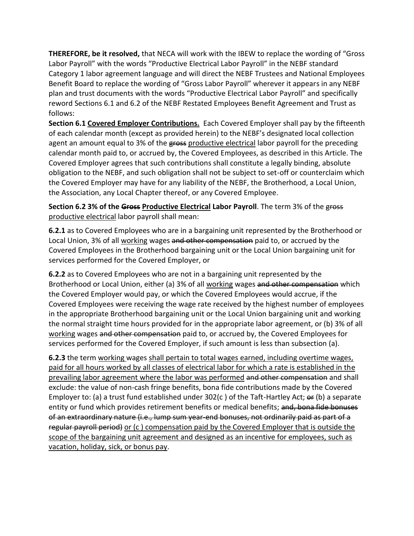**THEREFORE, be it resolved,** that NECA will work with the IBEW to replace the wording of "Gross Labor Payroll" with the words "Productive Electrical Labor Payroll" in the NEBF standard Category 1 labor agreement language and will direct the NEBF Trustees and National Employees Benefit Board to replace the wording of "Gross Labor Payroll" wherever it appears in any NEBF plan and trust documents with the words "Productive Electrical Labor Payroll" and specifically reword Sections 6.1 and 6.2 of the NEBF Restated Employees Benefit Agreement and Trust as follows:

**Section 6.1 Covered Employer Contributions.** Each Covered Employer shall pay by the fifteenth of each calendar month (except as provided herein) to the NEBF's designated local collection agent an amount equal to 3% of the gross productive electrical labor payroll for the preceding calendar month paid to, or accrued by, the Covered Employees, as described in this Article. The Covered Employer agrees that such contributions shall constitute a legally binding, absolute obligation to the NEBF, and such obligation shall not be subject to set-off or counterclaim which the Covered Employer may have for any liability of the NEBF, the Brotherhood, a Local Union, the Association, any Local Chapter thereof, or any Covered Employee.

**Section 6.2 3% of the Gross Productive Electrical Labor Payroll**. The term 3% of the gross productive electrical labor payroll shall mean:

**6.2.1** as to Covered Employees who are in a bargaining unit represented by the Brotherhood or Local Union, 3% of all working wages and other compensation paid to, or accrued by the Covered Employees in the Brotherhood bargaining unit or the Local Union bargaining unit for services performed for the Covered Employer, or

**6.2.2** as to Covered Employees who are not in a bargaining unit represented by the Brotherhood or Local Union, either (a) 3% of all working wages and other compensation which the Covered Employer would pay, or which the Covered Employees would accrue, if the Covered Employees were receiving the wage rate received by the highest number of employees in the appropriate Brotherhood bargaining unit or the Local Union bargaining unit and working the normal straight time hours provided for in the appropriate labor agreement, or (b) 3% of all working wages and other compensation paid to, or accrued by, the Covered Employees for services performed for the Covered Employer, if such amount is less than subsection (a).

**6.2.3** the term working wages shall pertain to total wages earned, including overtime wages, paid for all hours worked by all classes of electrical labor for which a rate is established in the prevailing labor agreement where the labor was performed and other compensation and shall exclude: the value of non-cash fringe benefits, bona fide contributions made by the Covered Employer to: (a) a trust fund established under  $302(c)$  of the Taft-Hartley Act;  $er (b)$  a separate entity or fund which provides retirement benefits or medical benefits; and, bona fide bonuses of an extraordinary nature (i.e., lump sum year-end bonuses, not ordinarily paid as part of a regular payroll period) or (c ) compensation paid by the Covered Employer that is outside the scope of the bargaining unit agreement and designed as an incentive for employees, such as vacation, holiday, sick, or bonus pay.